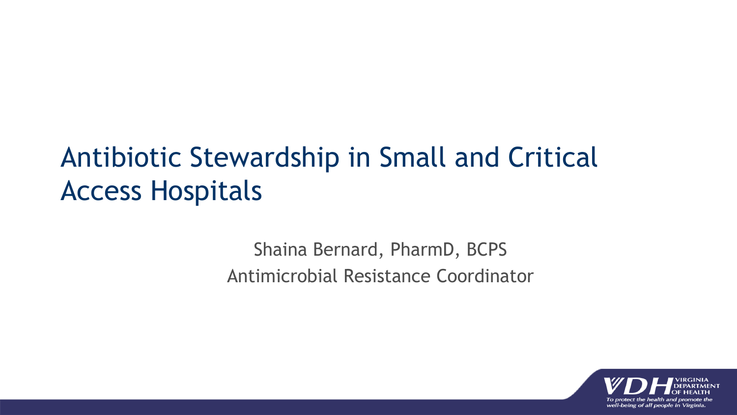### Antibiotic Stewardship in Small and Critical Access Hospitals

Shaina Bernard, PharmD, BCPS Antimicrobial Resistance Coordinator

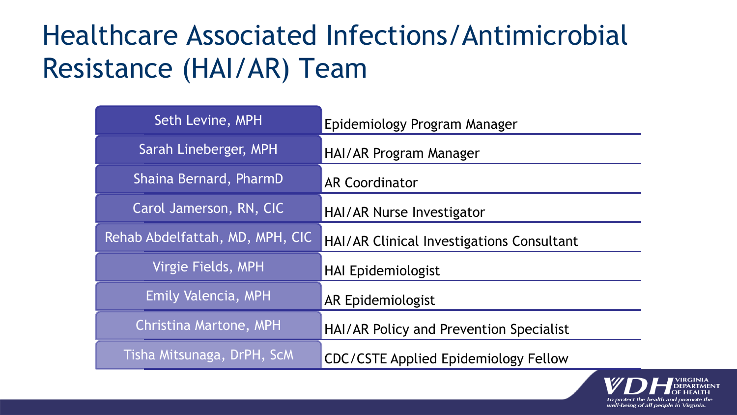## Healthcare Associated Infections/Antimicrobial Resistance (HAI/AR) Team

| Seth Levine, MPH                | Epidemiology Program Manager                |
|---------------------------------|---------------------------------------------|
| Sarah Lineberger, MPH           | HAI/AR Program Manager                      |
| Shaina Bernard, PharmD          | <b>AR Coordinator</b>                       |
| Carol Jamerson, RN, CIC         | HAI/AR Nurse Investigator                   |
| Rehab Abdelfattah, MD, MPH, CIC | HAI/AR Clinical Investigations Consultant   |
| Virgie Fields, MPH              | <b>HAI Epidemiologist</b>                   |
| Emily Valencia, MPH             | <b>AR Epidemiologist</b>                    |
| Christina Martone, MPH          | HAI/AR Policy and Prevention Specialist     |
| Tisha Mitsunaga, DrPH, ScM      | <b>CDC/CSTE Applied Epidemiology Fellow</b> |

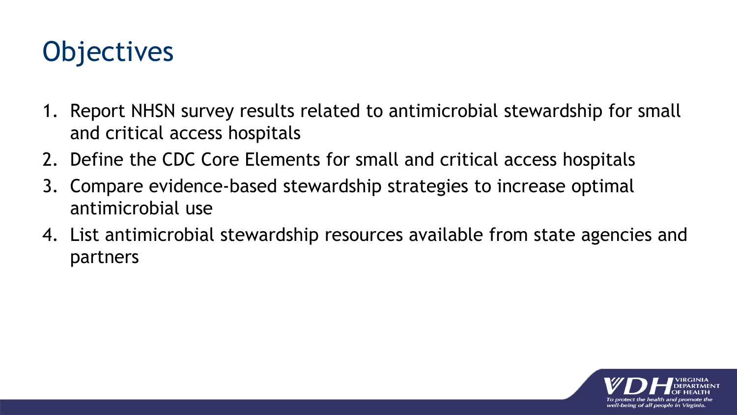## **Objectives**

- 1. Report NHSN survey results related to antimicrobial stewardship for small and critical access hospitals
- 2. Define the CDC Core Elements for small and critical access hospitals
- 3. Compare evidence-based stewardship strategies to increase optimal antimicrobial use
- 4. List antimicrobial stewardship resources available from state agencies and partners

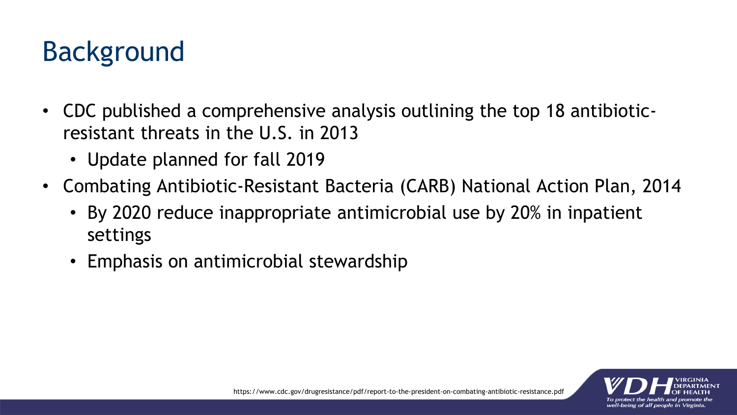## Background

- CDC published a comprehensive analysis outlining the top 18 antibioticresistant threats in the U.S. in 2013
	- Update planned for fall 2019
- Combating Antibiotic-Resistant Bacteria (CARB) National Action Plan, 2014
	- By 2020 reduce inappropriate antimicrobial use by 20% in inpatient settings
	- Emphasis on antimicrobial stewardship

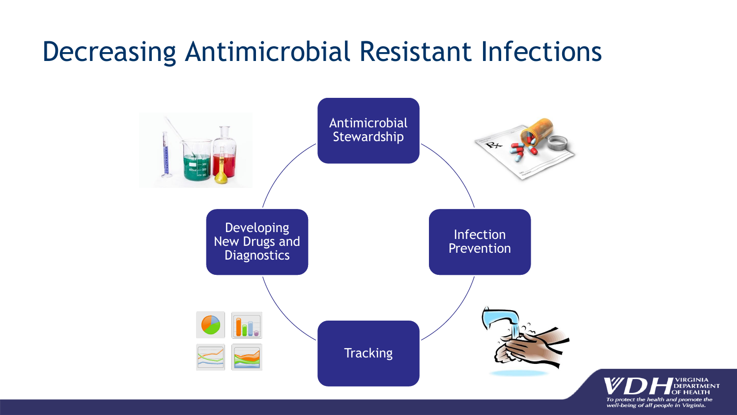### Decreasing Antimicrobial Resistant Infections

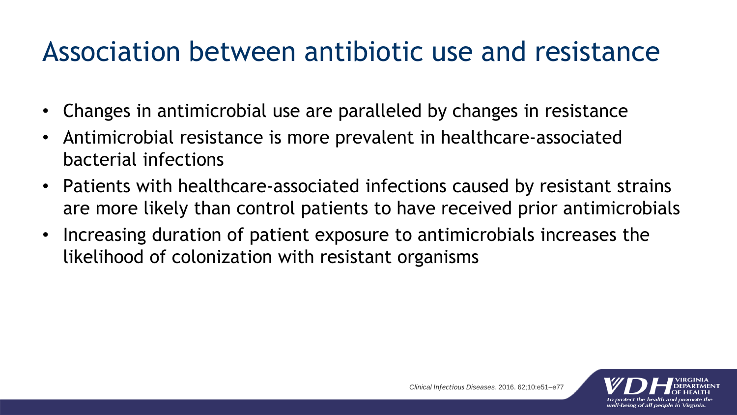#### Association between antibiotic use and resistance

- Changes in antimicrobial use are paralleled by changes in resistance
- Antimicrobial resistance is more prevalent in healthcare-associated bacterial infections
- Patients with healthcare-associated infections caused by resistant strains are more likely than control patients to have received prior antimicrobials
- Increasing duration of patient exposure to antimicrobials increases the likelihood of colonization with resistant organisms

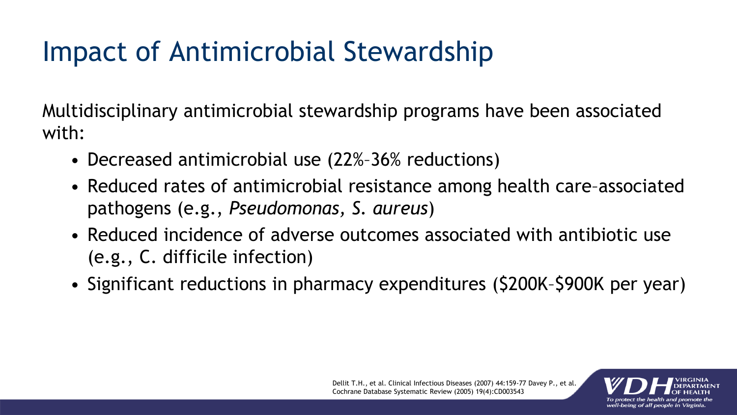# Impact of Antimicrobial Stewardship

Multidisciplinary antimicrobial stewardship programs have been associated with:

- Decreased antimicrobial use (22%–36% reductions)
- Reduced rates of antimicrobial resistance among health care–associated pathogens (e.g., *Pseudomonas, S. aureus*)
- Reduced incidence of adverse outcomes associated with antibiotic use (e.g., C. difficile infection)
- Significant reductions in pharmacy expenditures (\$200K–\$900K per year)

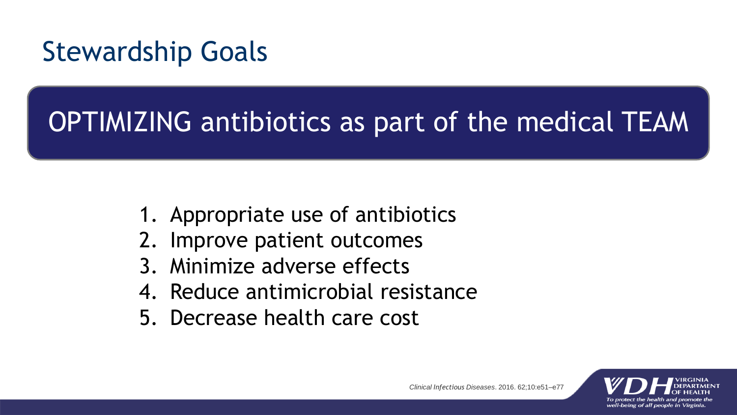### Stewardship Goals

# OPTIMIZING antibiotics as part of the medical TEAM

- 1. Appropriate use of antibiotics
- 2. Improve patient outcomes
- 3. Minimize adverse effects
- 4. Reduce antimicrobial resistance
- 5. Decrease health care cost

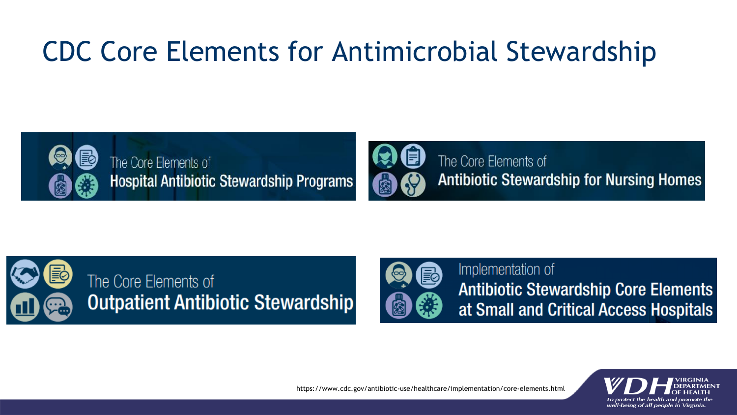## CDC Core Elements for Antimicrobial Stewardship





The Core Elements of **Antibiotic Stewardship for Nursing Homes** 





Implementation of **Antibiotic Stewardship Core Elements** at Small and Critical Access Hospitals



https://www.cdc.gov/antibiotic-use/healthcare/implementation/core-elements.html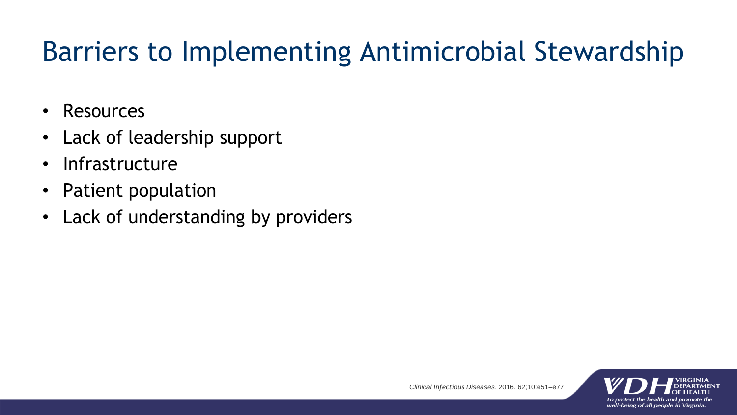## Barriers to Implementing Antimicrobial Stewardship

- Resources
- Lack of leadership support
- Infrastructure
- Patient population
- Lack of understanding by providers

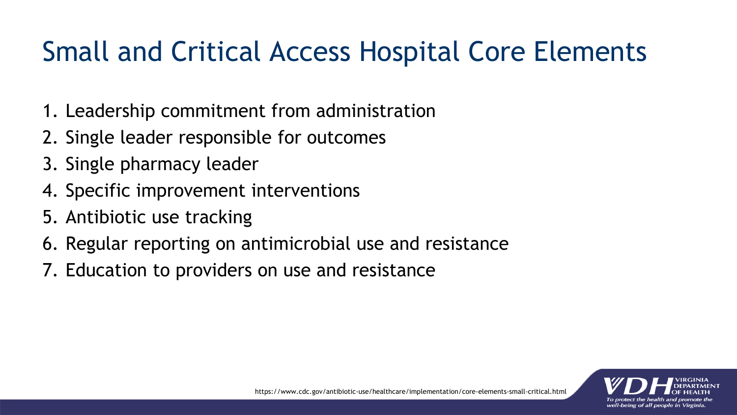## Small and Critical Access Hospital Core Elements

- 1. Leadership commitment from administration
- 2. Single leader responsible for outcomes
- 3. Single pharmacy leader
- 4. Specific improvement interventions
- 5. Antibiotic use tracking
- 6. Regular reporting on antimicrobial use and resistance
- 7. Education to providers on use and resistance

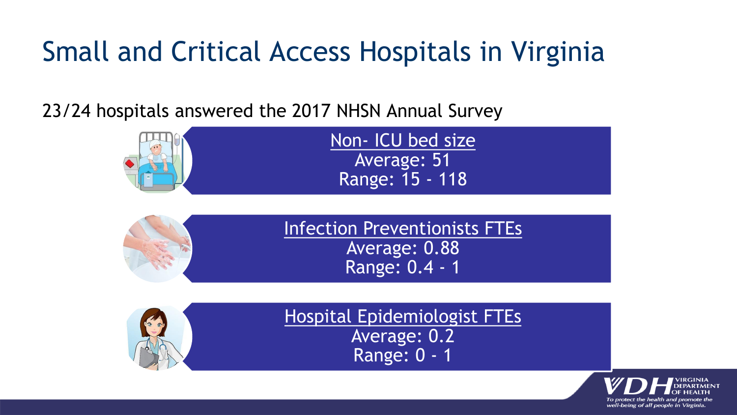## Small and Critical Access Hospitals in Virginia

23/24 hospitals answered the 2017 NHSN Annual Survey

| Non- ICU bed size      |
|------------------------|
| Average: 51            |
| <b>Range: 15 - 118</b> |





Hospital Epidemiologist FTEs Average: 0.2 Range: 0 - 1

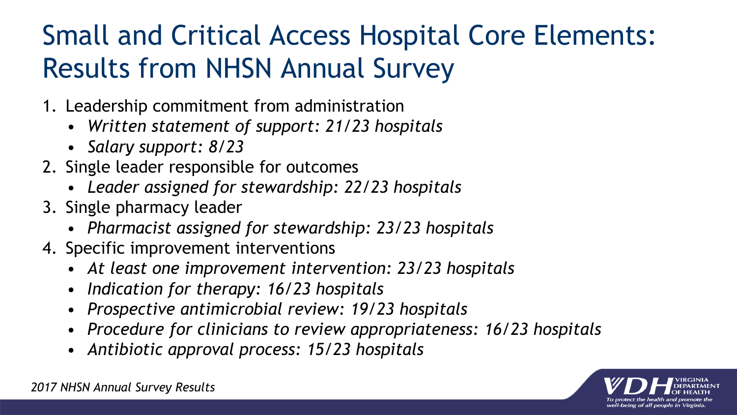## Small and Critical Access Hospital Core Elements: Results from NHSN Annual Survey

- 1. Leadership commitment from administration
	- *Written statement of support: 21/23 hospitals*
	- *Salary support: 8/23*
- 2. Single leader responsible for outcomes
	- *Leader assigned for stewardship: 22/23 hospitals*
- 3. Single pharmacy leader
	- *Pharmacist assigned for stewardship: 23/23 hospitals*
- 4. Specific improvement interventions
	- *At least one improvement intervention: 23/23 hospitals*
	- *Indication for therapy: 16/23 hospitals*
	- *Prospective antimicrobial review: 19/23 hospitals*
	- *Procedure for clinicians to review appropriateness: 16/23 hospitals*
	- *Antibiotic approval process: 15/23 hospitals*

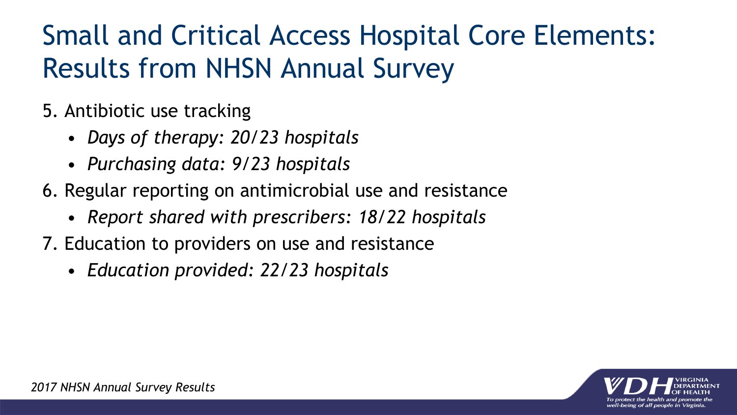## Small and Critical Access Hospital Core Elements: Results from NHSN Annual Survey

- 5. Antibiotic use tracking
	- *Days of therapy: 20/23 hospitals*
	- *Purchasing data: 9/23 hospitals*
- 6. Regular reporting on antimicrobial use and resistance
	- *Report shared with prescribers: 18/22 hospitals*
- 7. Education to providers on use and resistance
	- *Education provided: 22/23 hospitals*

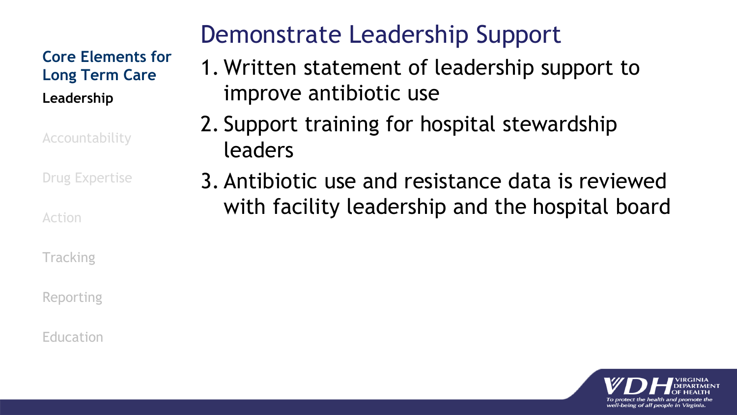#### **Core Elements for Long Term Care Leadership**

Accountability

Drug Expertise

Action

**Tracking** 

Reporting

#### Education

#### Demonstrate Leadership Support

- 1. Written statement of leadership support to improve antibiotic use
- 2. Support training for hospital stewardship leaders
- 3. Antibiotic use and resistance data is reviewed with facility leadership and the hospital board

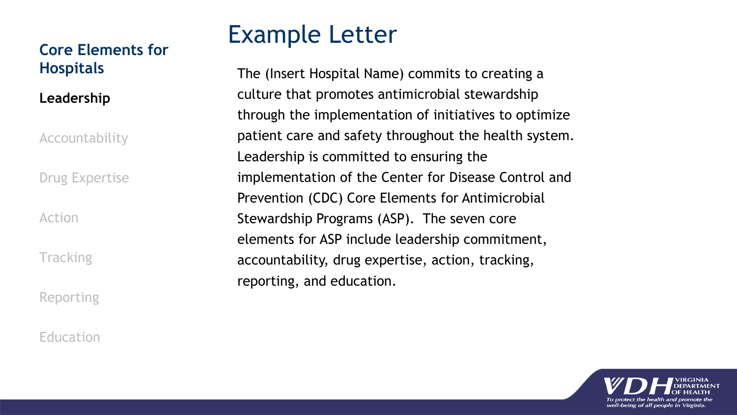#### **Core Elements for Hospitals**

**Leadership**

**Accountability** 

Drug Expertise

Action

**Tracking** 

Reporting

Education

#### Example Letter

The (Insert Hospital Name) commits to creating a culture that promotes antimicrobial stewardship through the implementation of initiatives to optimize patient care and safety throughout the health system. Leadership is committed to ensuring the implementation of the Center for Disease Control and Prevention (CDC) Core Elements for Antimicrobial Stewardship Programs (ASP). The seven core elements for ASP include leadership commitment, accountability, drug expertise, action, tracking, reporting, and education.

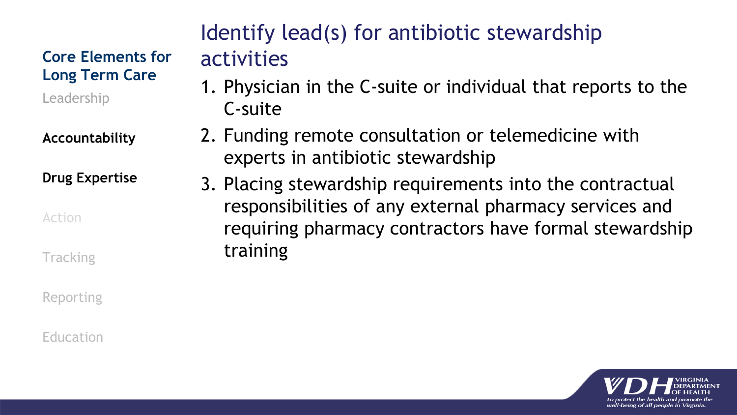#### **Core Elements for Long Term Care**

Leadership

**Accountability**

**Drug Expertise**

Action

**Tracking** 

Reporting

Education

#### Identify lead(s) for antibiotic stewardship activities

- 1. Physician in the C-suite or individual that reports to the C-suite
- 2. Funding remote consultation or telemedicine with experts in antibiotic stewardship
- 3. Placing stewardship requirements into the contractual responsibilities of any external pharmacy services and requiring pharmacy contractors have formal stewardship training

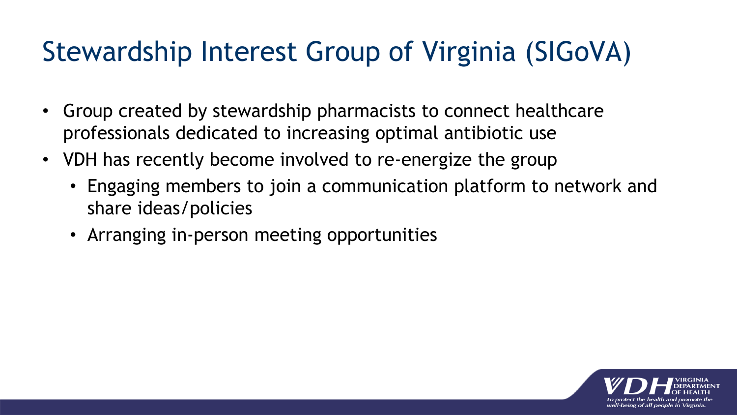## Stewardship Interest Group of Virginia (SIGoVA)

- Group created by stewardship pharmacists to connect healthcare professionals dedicated to increasing optimal antibiotic use
- VDH has recently become involved to re-energize the group
	- Engaging members to join a communication platform to network and share ideas/policies
	- Arranging in-person meeting opportunities

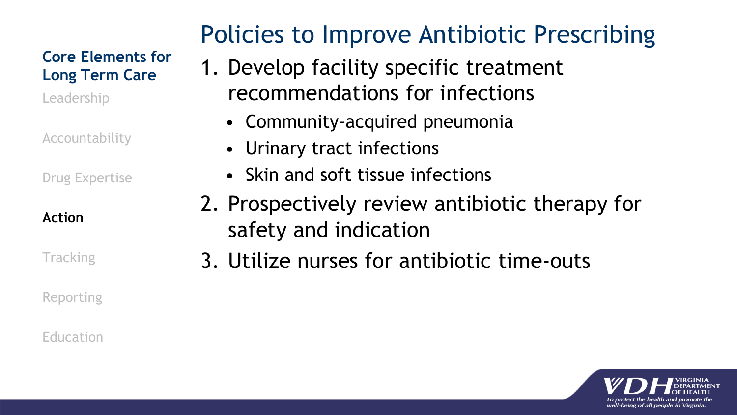#### **Core Elements for Long Term Care**

Leadership

Accountability

Drug Expertise

#### **Action**

**Tracking** 

Reporting

#### Education

#### Policies to Improve Antibiotic Prescribing

- 1. Develop facility specific treatment recommendations for infections
	- Community-acquired pneumonia
	- Urinary tract infections
	- Skin and soft tissue infections
- 2. Prospectively review antibiotic therapy for safety and indication
- 3. Utilize nurses for antibiotic time-outs

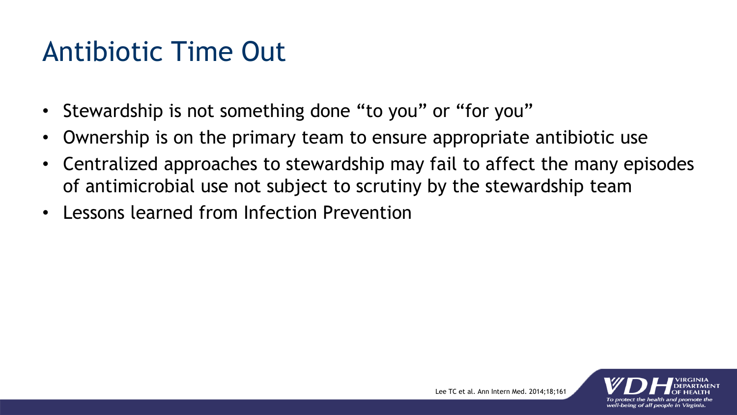### Antibiotic Time Out

- Stewardship is not something done "to you" or "for you"
- Ownership is on the primary team to ensure appropriate antibiotic use
- Centralized approaches to stewardship may fail to affect the many episodes of antimicrobial use not subject to scrutiny by the stewardship team
- Lessons learned from Infection Prevention

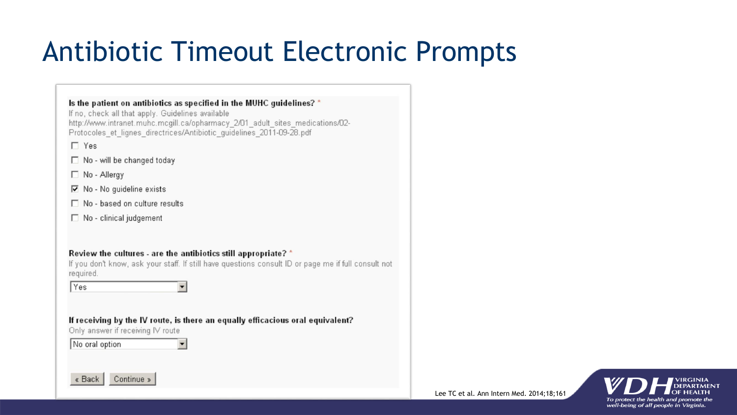## Antibiotic Timeout Electronic Prompts

#### Is the patient on antibiotics as specified in the MUHC guidelines? \*

If no, check all that apply. Guidelines available http://www.intranet.muhc.mcgill.ca/opharmacy 2/01 adult sites medications/02-Protocoles et lignes directrices/Antibiotic guidelines 2011-09-28.pdf

 $\Box$  Yes

- $\Box$  No will be changed today
- $\Box$  No Allergy
- $\nabla$  No No quideline exists
- $\Box$  No based on culture results
- □ No clinical judgement

#### Review the cultures - are the antibiotics still appropriate? \*

If you don't know, ask your staff. If still have questions consult ID or page me if full consult not required.

**Yes**  $\blacktriangledown$ 

If receiving by the IV route, is there an equally efficacious oral equivalent?

Only answer if receiving IV route



 $\blacktriangledown$ 



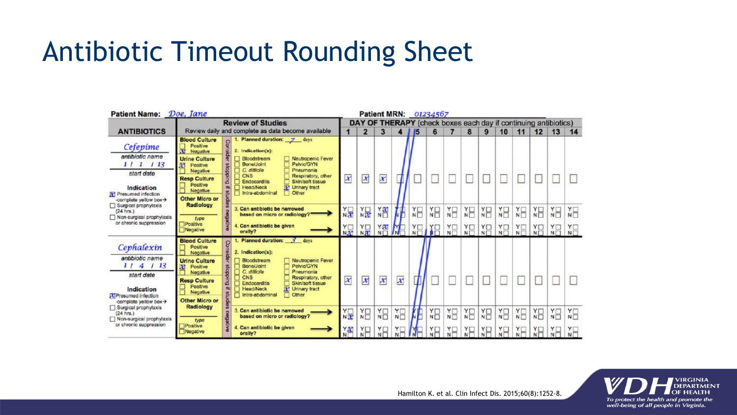### Antibiotic Timeout Rounding Sheet

| Patient Name: Doe, Jane                                                                                                                                      |                                                                                                                                                                                        |                                                                                                                                                                                                                                                                                                                                                                                                             |                                                                 | <b>Patient MRN:</b><br>01234567      |    |                                 |                    |                                      |                                 |                                |                       |                                       |                                   |                       |                            |                  |
|--------------------------------------------------------------------------------------------------------------------------------------------------------------|----------------------------------------------------------------------------------------------------------------------------------------------------------------------------------------|-------------------------------------------------------------------------------------------------------------------------------------------------------------------------------------------------------------------------------------------------------------------------------------------------------------------------------------------------------------------------------------------------------------|-----------------------------------------------------------------|--------------------------------------|----|---------------------------------|--------------------|--------------------------------------|---------------------------------|--------------------------------|-----------------------|---------------------------------------|-----------------------------------|-----------------------|----------------------------|------------------|
|                                                                                                                                                              | <b>Review of Studies</b>                                                                                                                                                               |                                                                                                                                                                                                                                                                                                                                                                                                             | DAY OF THERAPY (check boxes each day if continuing antibiotics) |                                      |    |                                 |                    |                                      |                                 |                                |                       |                                       |                                   |                       |                            |                  |
| <b>ANTIBIOTICS</b>                                                                                                                                           |                                                                                                                                                                                        | Review daily and complete as data become available                                                                                                                                                                                                                                                                                                                                                          |                                                                 | 2                                    | 3  |                                 | 15                 | 6                                    |                                 | 8                              | 9                     | 10                                    | 11                                | 12                    | 13                         | 14               |
| Cefepime<br>antibiotic name<br>113<br>11<br>1<br>start date<br>Indication<br><b>IN</b> Presumed infection<br>-complete yellow box-                           | <b>Blood Culture</b><br>Positive<br>团<br>Negative<br><b>Urine Culture</b><br>囨<br>Positive<br>Negative<br><b>Resp Culture</b><br>Positive<br>Negative<br><b>Other Micro or</b>         | Planned duration: 7 days<br>Consider<br>2. Indication(s):<br>Neutropenic Fever<br>Bloodstream<br>Pelvic/GYN<br>Bone/Joint<br>stoppi<br>C. difficile<br>Pneumonia<br>CNS<br>Respiratory, other<br>3<br><b>Endocarditis</b><br>Skin/soft tissue<br>Te Urinary tract<br><b>Head/Neck</b><br>书<br>studie<br>Intra-abdominal<br>Other                                                                            | x                                                               | x                                    | x  |                                 |                    |                                      |                                 |                                |                       |                                       |                                   |                       |                            |                  |
| Radiology<br>Surgical prophylaxis<br>$(24$ hrs.)<br>negative<br>Non-surgical prophylaxis<br>type<br>or chronic suppression<br>Positive<br>Negative           | 3. Can antibiotic be narrowed<br>based on micro or radiology?"<br>4. Can antibiotic be given<br>orally?                                                                                | $\frac{1}{x}$<br>$\prod_{N\in\mathbb{N}}$                                                                                                                                                                                                                                                                                                                                                                   | $\frac{1}{N}$<br>$\frac{Y}{N}$                                  | $\frac{1}{N}$<br>$\frac{Y}{N}$       |    | $\sum_{N=1}^{N}$<br>$X \square$ | $\frac{1}{N}$<br>阳 | $\sum_{N=1}^{N}$<br>$\sum_{N=1}^{N}$ | $\sum_{N=1}^{N}$<br>$Y \square$ | $X_{\square}$<br>$X_{\square}$ | ¥Ξ<br>NT <sub>x</sub> | $\sum_{N=1}^{N}$<br>$\prod_{N=1}^{N}$ | $\sum_{N=1}^{N}$<br>$X_{\square}$ | X<br>$\sum_{N=1}^{N}$ | $\sum_{N=1}^{N}$<br>Y<br>N |                  |
| Cephalexin<br>antibiotic name<br>113<br>1/<br>4<br>start date<br>Indication<br><b>XTPresumed Infection</b><br>-complete yellow box-><br>Surgical prophylaxis | <b>Blood Culture</b><br>Positive<br>Negative<br><b>Urine Culture</b><br>m<br>Positive<br>Negative<br><b>Resp Culture</b><br>Positive<br>Negative<br><b>Other Micro or</b><br>Radiology | <b>Planned duration:</b><br>3 <sub>days</sub><br>8<br>risider<br>2. Indication(s):<br>Neutropenic Fever<br>Bloodstream<br><b>Pelvic/GYN</b><br>Bone/Joint<br>Burddops<br>C. difficile<br>Pneumonia<br>CNS<br>Respiratory, other<br><b>Endocarditis</b><br>Skin/soft tissue<br>叫<br><b>It' Uninary tract</b><br><b>Head/Neck</b><br>studie<br>Intra-abdominal<br>П<br>Other<br>3. Can antibiotic be narrowed | $\boldsymbol{x}$                                                | x                                    | x  | x                               |                    |                                      |                                 |                                |                       |                                       |                                   |                       |                            |                  |
| $(24$ hrs.)<br>Non-surgical prophylaxis<br>type<br>or chronic suppression<br><b>F</b> Positive<br>Negative                                                   |                                                                                                                                                                                        | based on micro or radiology?<br>4. Can antibiotic be given<br>orally?                                                                                                                                                                                                                                                                                                                                       | $\frac{Y}{X}$<br>$\frac{1}{N}$                                  | $\sum_{N=1}^{N}$<br>$\sum_{N=1}^{N}$ | YH | $\frac{Y}{N}$                   |                    | YE                                   | $\sum_{N=1}^{N}$                | $\sum_{N=1}^{N}$               | ¥8                    | ¥Ξ                                    | $\sum_{N=1}^{N}$                  | $\sum_{N=1}^{N}$      | ¥8                         | $\sum_{N=1}^{N}$ |

Hamilton K. et al. Clin Infect Dis. 2015;60(8):1252-8.

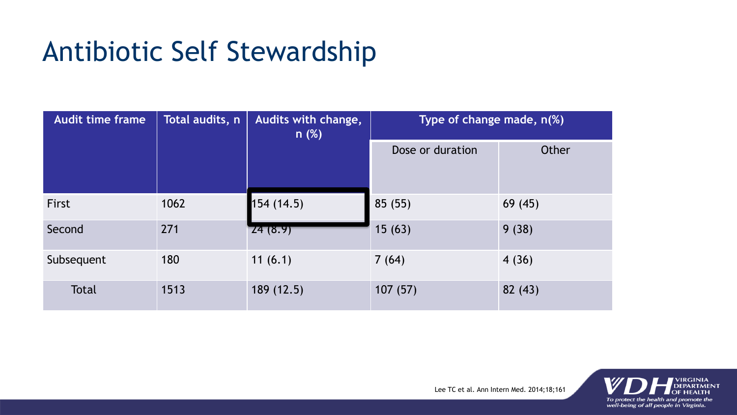## Antibiotic Self Stewardship

| <b>Audit time frame</b> | Total audits, n | Audits with change,<br>n(%) | Type of change made, n(%) |         |
|-------------------------|-----------------|-----------------------------|---------------------------|---------|
|                         |                 |                             | Dose or duration          | Other   |
| First                   | 1062            | 154(14.5)                   | 85 (55)                   | 69(45)  |
| Second                  | 271             | Z4(8.9)                     | 15(63)                    | 9(38)   |
| Subsequent              | 180             | 11(6.1)                     | 7(64)                     | 4(36)   |
| <b>Total</b>            | 1513            | 189(12.5)                   | 107(57)                   | 82 (43) |



Lee TC et al. Ann Intern Med. 2014;18;161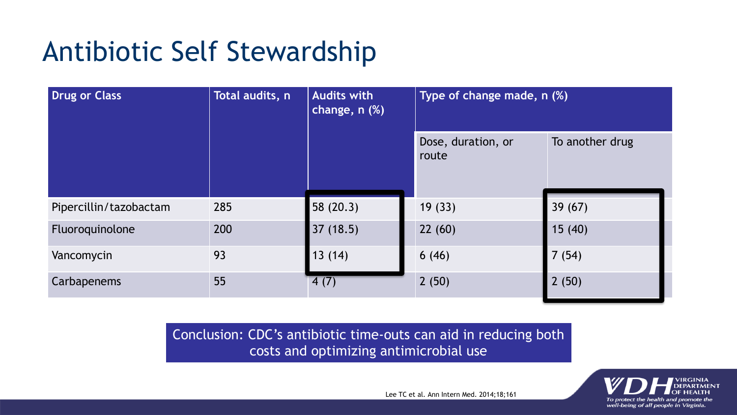## Antibiotic Self Stewardship

| Drug or Class          | Total audits, n | <b>Audits with</b><br>change, n (%) | Type of change made, n (%)  |                 |
|------------------------|-----------------|-------------------------------------|-----------------------------|-----------------|
|                        |                 |                                     | Dose, duration, or<br>route | To another drug |
| Pipercillin/tazobactam | 285             | 58 (20.3)                           | 19(33)                      | 39(67)          |
| Fluoroquinolone        | 200             | 37(18.5)                            | 22(60)                      | 15(40)          |
| Vancomycin             | 93              | 13(14)                              | 6(46)                       | 7(54)           |
| Carbapenems            | 55              | 4(7)                                | 2(50)                       | 2(50)           |

Conclusion: CDC's antibiotic time-outs can aid in reducing both costs and optimizing antimicrobial use



Lee TC et al. Ann Intern Med. 2014;18;161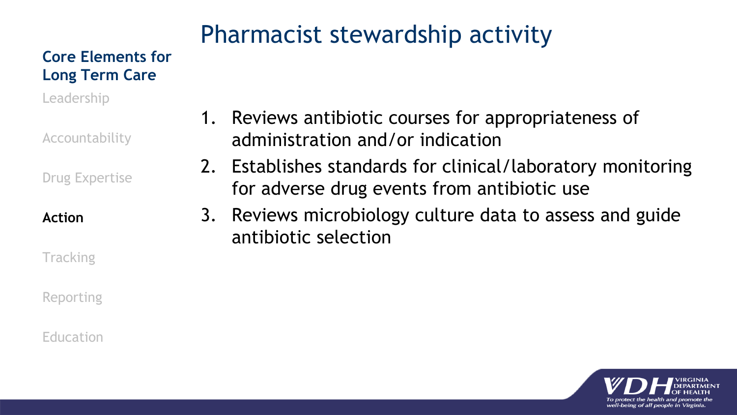#### Pharmacist stewardship activity

**Core Elements for Long Term Care**

Leadership

Accountability

Drug Expertise

**Action**

**Tracking** 

Reporting

Education

- 1. Reviews antibiotic courses for appropriateness of administration and/or indication
- 2. Establishes standards for clinical/laboratory monitoring for adverse drug events from antibiotic use
- 3. Reviews microbiology culture data to assess and guide antibiotic selection

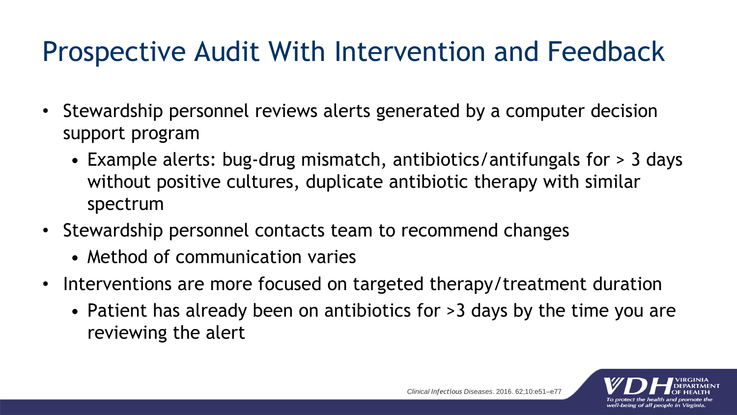### Prospective Audit With Intervention and Feedback

- Stewardship personnel reviews alerts generated by a computer decision support program
	- Example alerts: bug-drug mismatch, antibiotics/antifungals for > 3 days without positive cultures, duplicate antibiotic therapy with similar spectrum
- Stewardship personnel contacts team to recommend changes
	- Method of communication varies
- Interventions are more focused on targeted therapy/treatment duration
	- Patient has already been on antibiotics for >3 days by the time you are reviewing the alert

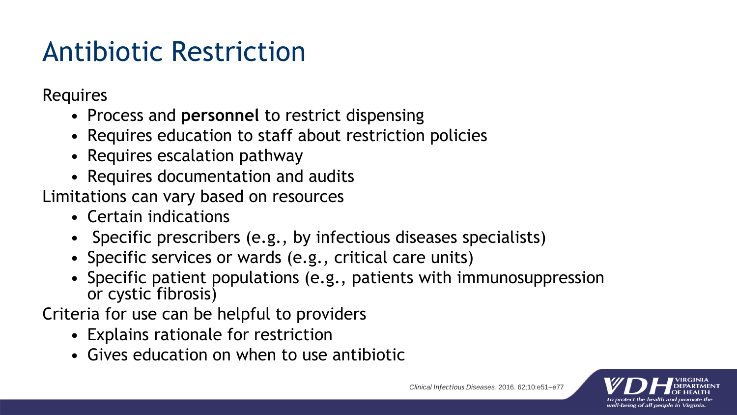## Antibiotic Restriction

Requires

- Process and **personnel** to restrict dispensing
- Requires education to staff about restriction policies
- Requires escalation pathway
- Requires documentation and audits

Limitations can vary based on resources

- Certain indications
- Specific prescribers (e.g., by infectious diseases specialists)
- Specific services or wards (e.g., critical care units)
- Specific patient populations (e.g., patients with immunosuppression or cystic fibrosis)

Criteria for use can be helpful to providers

- Explains rationale for restriction
- Gives education on when to use antibiotic

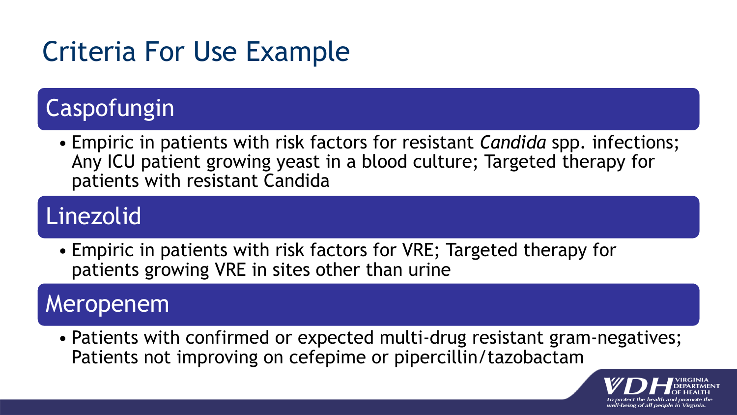# Criteria For Use Example

#### Caspofungin

• Empiric in patients with risk factors for resistant *Candida* spp. infections; Any ICU patient growing yeast in a blood culture; Targeted therapy for patients with resistant Candida

#### Linezolid

• Empiric in patients with risk factors for VRE; Targeted therapy for patients growing VRE in sites other than urine

#### Meropenem

• Patients with confirmed or expected multi-drug resistant gram-negatives; Patients not improving on cefepime or pipercillin/tazobactam

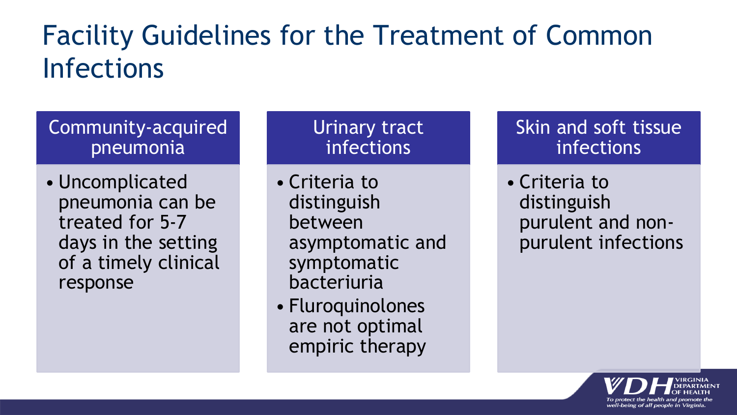## Facility Guidelines for the Treatment of Common Infections

#### Community-acquired pneumonia

• Uncomplicated pneumonia can be treated for 5-7 days in the setting of a timely clinical response

Urinary tract infections

• Criteria to distinguish between asymptomatic and symptomatic bacteriuria

• Fluroquinolones are not optimal empiric therapy Skin and soft tissue infections

• Criteria to distinguish purulent and nonpurulent infections

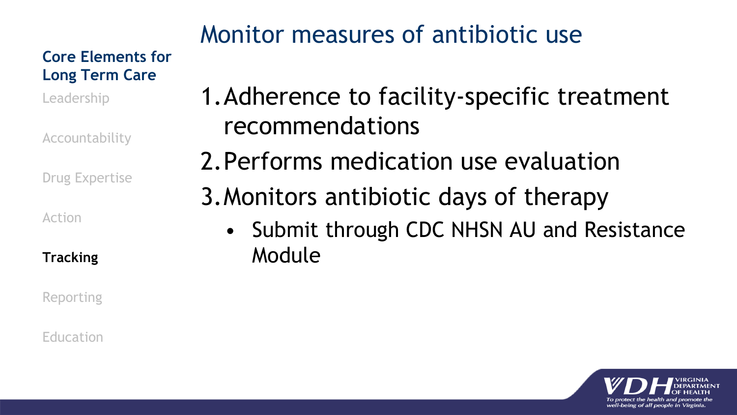#### **Core Elements for Long Term Care**

Leadership

Accountability

Drug Expertise

Action

**Tracking**

Reporting

Education

#### Monitor measures of antibiotic use

- 1.Adherence to facility-specific treatment recommendations
- 2.Performs medication use evaluation
- 3.Monitors antibiotic days of therapy
	- Submit through CDC NHSN AU and Resistance Module

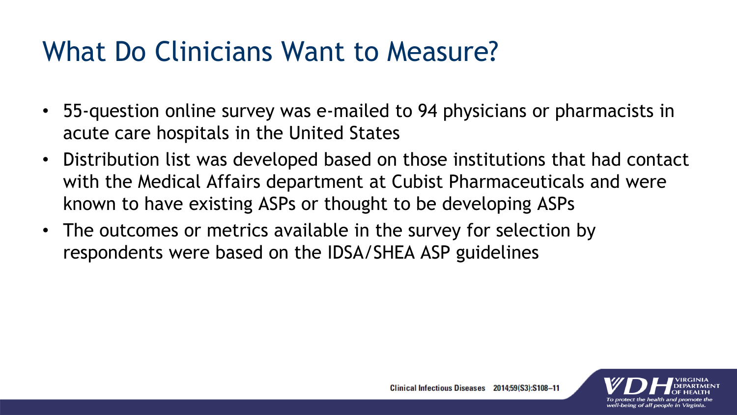### What Do Clinicians Want to Measure?

- 55-question online survey was e-mailed to 94 physicians or pharmacists in acute care hospitals in the United States
- Distribution list was developed based on those institutions that had contact with the Medical Affairs department at Cubist Pharmaceuticals and were known to have existing ASPs or thought to be developing ASPs
- The outcomes or metrics available in the survey for selection by respondents were based on the IDSA/SHEA ASP guidelines

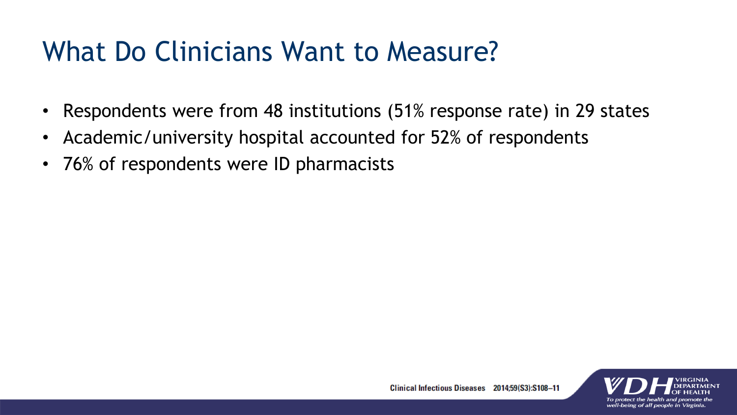### What Do Clinicians Want to Measure?

- Respondents were from 48 institutions (51% response rate) in 29 states
- Academic/university hospital accounted for 52% of respondents
- 76% of respondents were ID pharmacists

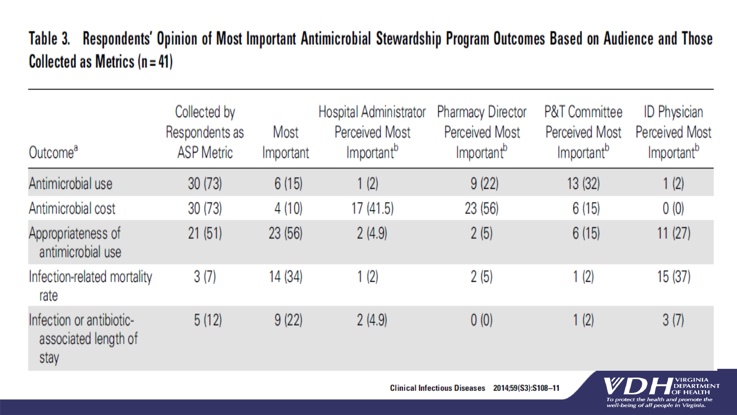#### Table 3. Respondents' Opinion of Most Important Antimicrobial Stewardship Program Outcomes Based on Audience and Those Collected as Metrics  $(n = 41)$

| Outcome <sup>a</sup>                                     | Collected by<br>Respondents as<br><b>ASP Metric</b> | Most<br>Important | Hospital Administrator<br><b>Perceived Most</b><br>Important <sup>b</sup> | <b>Pharmacy Director</b><br>Perceived Most<br>Important <sup>b</sup> | <b>P&amp;T Committee</b><br><b>Perceived Most</b><br>Important <sup>b</sup> | <b>ID Physician</b><br><b>Perceived Most</b><br>Important <sup>b</sup> |
|----------------------------------------------------------|-----------------------------------------------------|-------------------|---------------------------------------------------------------------------|----------------------------------------------------------------------|-----------------------------------------------------------------------------|------------------------------------------------------------------------|
| Antimicrobial use                                        | 30(73)                                              | 6(15)             | 1(2)                                                                      | 9(22)                                                                | 13 (32)                                                                     | 1(2)                                                                   |
| Antimicrobial cost                                       | 30(73)                                              | 4(10)             | 17 (41.5)                                                                 | 23 (56)                                                              | 6(15)                                                                       | 0(0)                                                                   |
| Appropriateness of<br>antimicrobial use                  | 21(51)                                              | 23 (56)           | 2(4.9)                                                                    | 2(5)                                                                 | 6(15)                                                                       | 11(27)                                                                 |
| Infection-related mortality<br>rate                      | 3(7)                                                | 14 (34)           | 1(2)                                                                      | 2(5)                                                                 | 1(2)                                                                        | 15(37)                                                                 |
| Infection or antibiotic-<br>associated length of<br>stay | 5(12)                                               | 9(22)             | 2(4.9)                                                                    | 0(0)                                                                 | 1(2)                                                                        | 3(7)                                                                   |

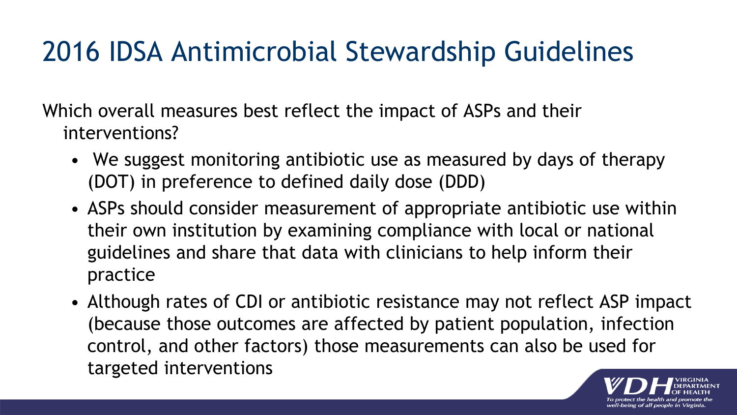## 2016 IDSA Antimicrobial Stewardship Guidelines

Which overall measures best reflect the impact of ASPs and their interventions?

- We suggest monitoring antibiotic use as measured by days of therapy (DOT) in preference to defined daily dose (DDD)
- ASPs should consider measurement of appropriate antibiotic use within their own institution by examining compliance with local or national guidelines and share that data with clinicians to help inform their practice
- Although rates of CDI or antibiotic resistance may not reflect ASP impact (because those outcomes are affected by patient population, infection control, and other factors) those measurements can also be used for targeted interventions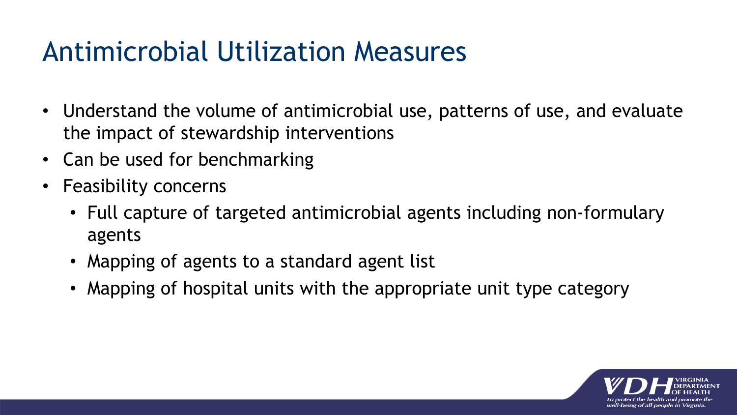### Antimicrobial Utilization Measures

- Understand the volume of antimicrobial use, patterns of use, and evaluate the impact of stewardship interventions
- Can be used for benchmarking
- Feasibility concerns
	- Full capture of targeted antimicrobial agents including non-formulary agents
	- Mapping of agents to a standard agent list
	- Mapping of hospital units with the appropriate unit type category

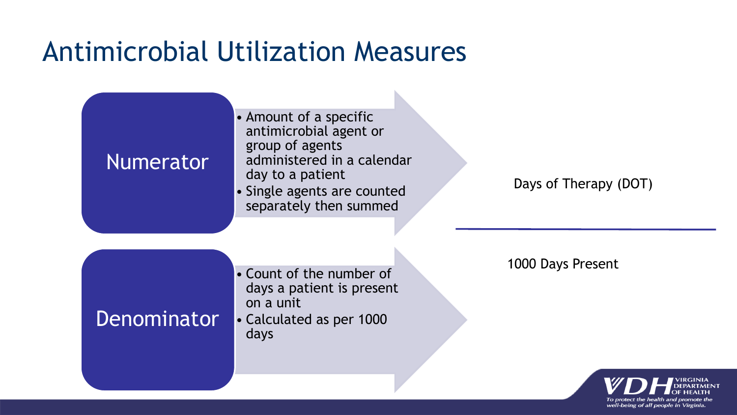#### Antimicrobial Utilization Measures



well-being of all people in Virginia.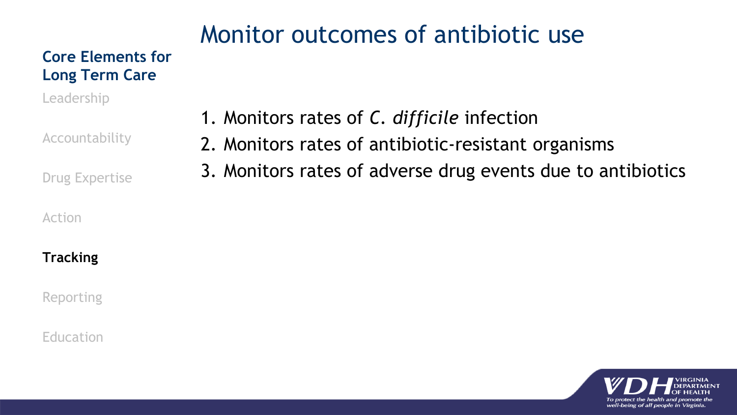#### Monitor outcomes of antibiotic use

#### **Core Elements for Long Term Care**

Leadership

Accountability

Drug Expertise

#### Action

#### **Tracking**

Reporting

#### Education

- 1. Monitors rates of *C. difficile* infection
- 2. Monitors rates of antibiotic-resistant organisms
- 3. Monitors rates of adverse drug events due to antibiotics

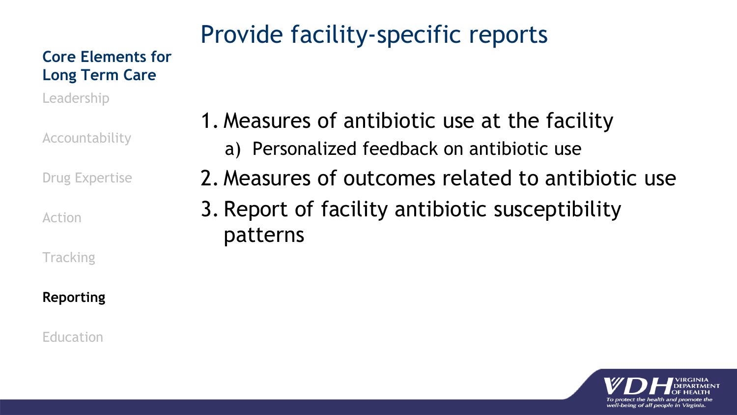#### Provide facility-specific reports

#### **Core Elements for Long Term Care**

Leadership

Accountability

Drug Expertise

Action

**Tracking** 

#### **Reporting**

Education

- 1. Measures of antibiotic use at the facility a) Personalized feedback on antibiotic use
- 2. Measures of outcomes related to antibiotic use
- 3. Report of facility antibiotic susceptibility patterns

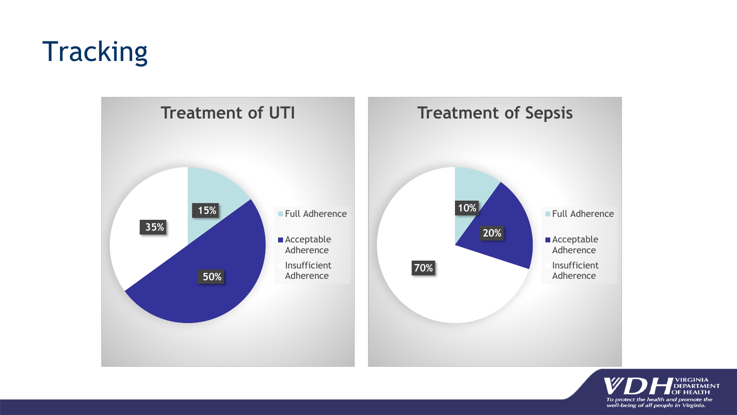## **Tracking**



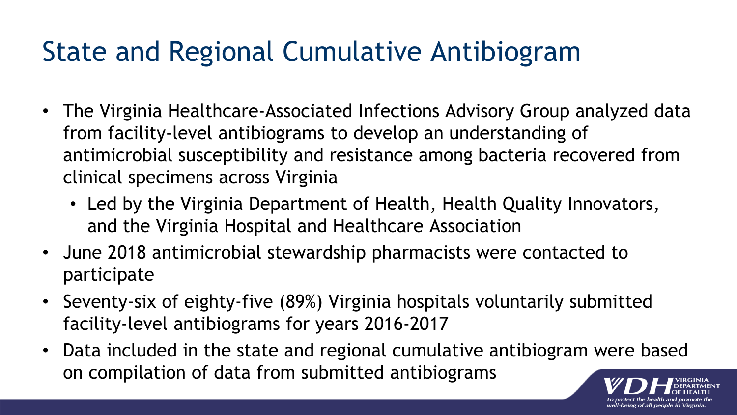### State and Regional Cumulative Antibiogram

- The Virginia Healthcare-Associated Infections Advisory Group analyzed data from facility-level antibiograms to develop an understanding of antimicrobial susceptibility and resistance among bacteria recovered from clinical specimens across Virginia
	- Led by the Virginia Department of Health, Health Quality Innovators, and the Virginia Hospital and Healthcare Association
- June 2018 antimicrobial stewardship pharmacists were contacted to participate
- Seventy-six of eighty-five (89%) Virginia hospitals voluntarily submitted facility-level antibiograms for years 2016-2017
- Data included in the state and regional cumulative antibiogram were based on compilation of data from submitted antibiograms

well-being of all people in Virginia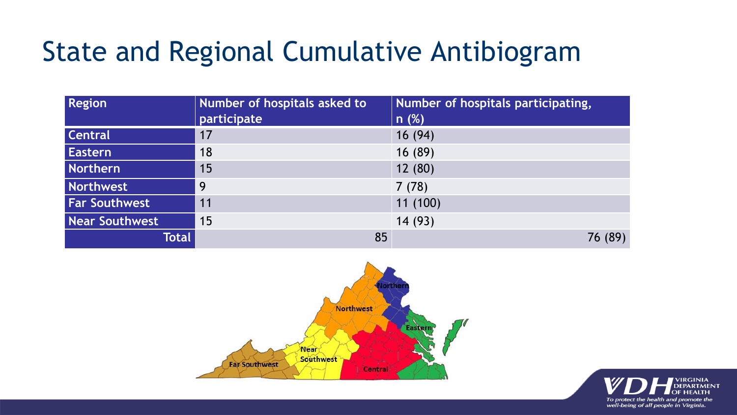### State and Regional Cumulative Antibiogram

| <b>Region</b>        | Number of hospitals asked to<br>participate | Number of hospitals participating,<br>n(%) |
|----------------------|---------------------------------------------|--------------------------------------------|
| <b>Central</b>       | 17                                          | 16(94)                                     |
| <b>Eastern</b>       | 18                                          | 16 (89)                                    |
| Northern             | 15                                          | 12(80)                                     |
| Northwest            | 9                                           | 7(78)                                      |
| <b>Far Southwest</b> | 11                                          | 11(100)                                    |
| Near Southwest       | 15                                          | 14(93)                                     |
| Total                | 85                                          | 76 (89)                                    |



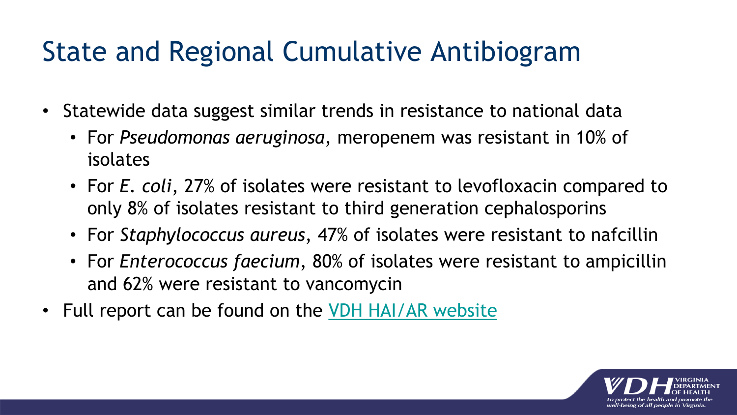### State and Regional Cumulative Antibiogram

- Statewide data suggest similar trends in resistance to national data
	- For *Pseudomonas aeruginosa*, meropenem was resistant in 10% of isolates
	- For *E. coli*, 27% of isolates were resistant to levofloxacin compared to only 8% of isolates resistant to third generation cephalosporins
	- For *Staphylococcus aureus*, 47% of isolates were resistant to nafcillin
	- For *Enterococcus faecium*, 80% of isolates were resistant to ampicillin and 62% were resistant to vancomycin
- Full report can be found on the [VDH HAI/AR website](http://www.vdh.virginia.gov/surveillance-and-investigation/hai/aur/)

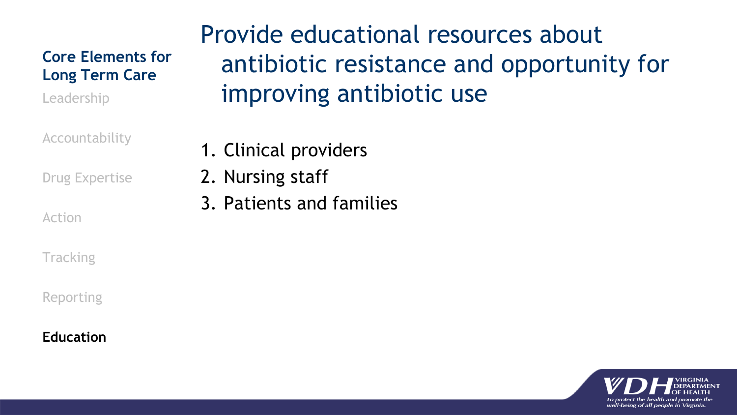#### **Core Elements for Long Term Care**

Leadership

Accountability

Drug Expertise

Action

**Tracking** 

Reporting

#### **Education**

Provide educational resources about antibiotic resistance and opportunity for improving antibiotic use

1. Clinical providers

2. Nursing staff

3. Patients and families

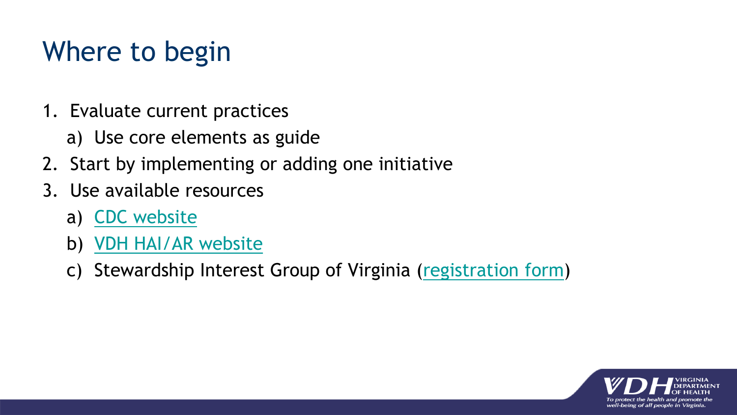## Where to begin

- 1. Evaluate current practices
	- a) Use core elements as guide
- 2. Start by implementing or adding one initiative
- 3. Use available resources
	- a) [CDC website](https://www.cdc.gov/antibiotic-use/healthcare/implementation/core-elements-small-critical.html)
	- b) [VDH HAI/AR website](http://www.vdh.virginia.gov/surveillance-and-investigation/hai/aur/)
	- c) Stewardship Interest Group of Virginia [\(registration form](https://sigova.mobilize.io/registrations/groups/23135))

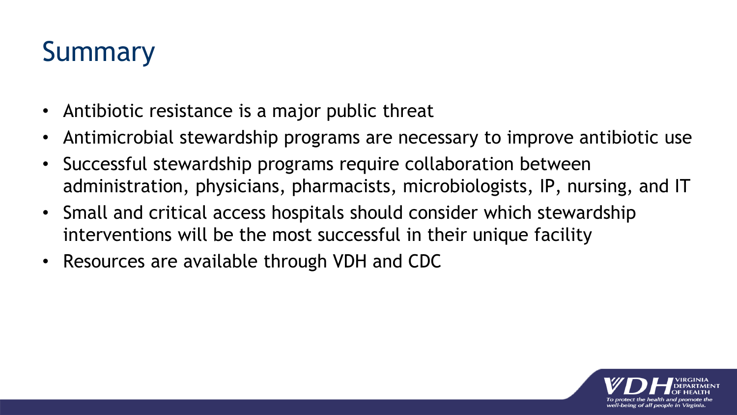# Summary

- Antibiotic resistance is a major public threat
- Antimicrobial stewardship programs are necessary to improve antibiotic use
- Successful stewardship programs require collaboration between administration, physicians, pharmacists, microbiologists, IP, nursing, and IT
- Small and critical access hospitals should consider which stewardship interventions will be the most successful in their unique facility
- Resources are available through VDH and CDC

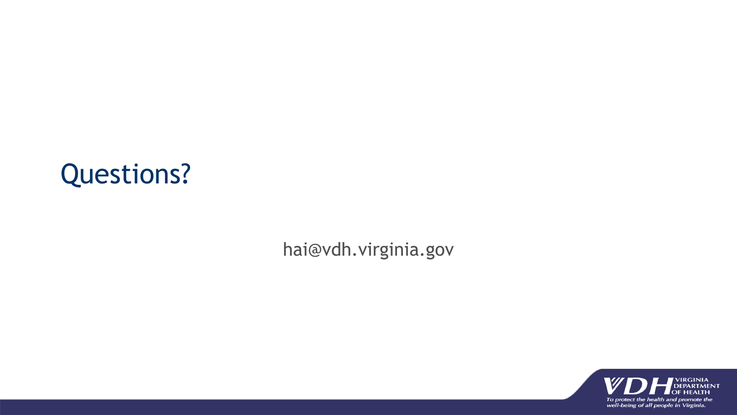#### Questions?

hai@vdh.virginia.gov